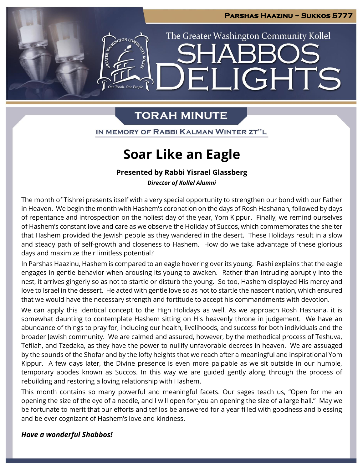LIGHTS

The Greater Washington Community Kollel

# **TORAH MINUTE**

 $\blacksquare$ 

ARTISTON CO.

IN MEMORY OF RABBI KALMAN WINTER ZT"L

# **Soar Like an Eagle**

### **Presented by Rabbi Yisrael Glassberg**

*Director of Kollel Alumni*

The month of Tishrei presents itself with a very special opportunity to strengthen our bond with our Father in Heaven. We begin the month with Hashem's coronation on the days of Rosh Hashanah, followed by days of repentance and introspection on the holiest day of the year, Yom Kippur. Finally, we remind ourselves of Hashem's constant love and care as we observe the Holiday of Succos, which commemorates the shelter that Hashem provided the Jewish people as they wandered in the desert. These Holidays result in a slow and steady path of self-growth and closeness to Hashem. How do we take advantage of these glorious days and maximize their limitless potential?

In Parshas Haazinu, Hashem is compared to an eagle hovering over its young. Rashi explains that the eagle engages in gentle behavior when arousing its young to awaken. Rather than intruding abruptly into the nest, it arrives gingerly so as not to startle or disturb the young. So too, Hashem displayed His mercy and love to Israel in the dessert. He acted with gentle love so as not to startle the nascent nation, which ensured that we would have the necessary strength and fortitude to accept his commandments with devotion.

We can apply this identical concept to the High Holidays as well. As we approach Rosh Hashana, it is somewhat daunting to contemplate Hashem sitting on His heavenly throne in judgement. We have an abundance of things to pray for, including our health, livelihoods, and success for both individuals and the broader Jewish community. We are calmed and assured, however, by the methodical process of Teshuva, Tefilah, and Tzedaka, as they have the power to nullify unfavorable decrees in heaven. We are assuaged by the sounds of the Shofar and by the lofty heights that we reach after a meaningful and inspirational Yom Kippur. A few days later, the Divine presence is even more palpable as we sit outside in our humble, temporary abodes known as Succos. In this way we are guided gently along through the process of rebuilding and restoring a loving relationship with Hashem.

This month contains so many powerful and meaningful facets. Our sages teach us, "Open for me an opening the size of the eye of a needle, and I will open for you an opening the size of a large hall." May we be fortunate to merit that our efforts and tefilos be answered for a year filled with goodness and blessing and be ever cognizant of Hashem's love and kindness.

#### *Have a wonderful Shabbos!*